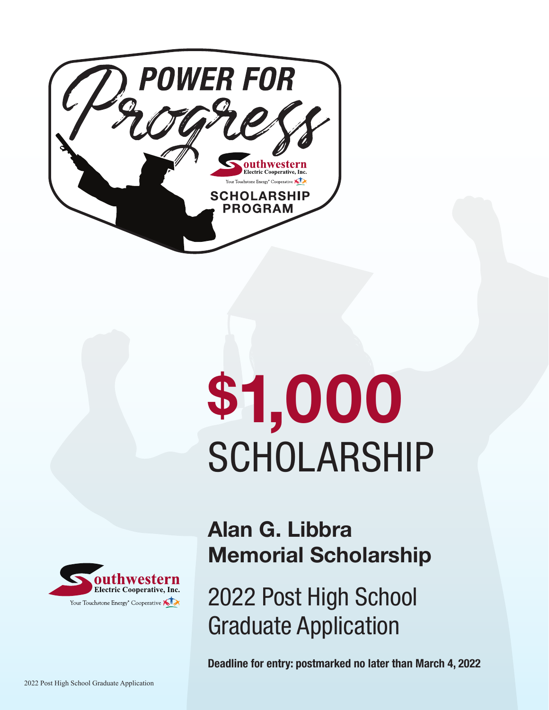

# \$1,000 SCHOLARSHIP



# Alan G. Libbra Memorial Scholarship

2022 Post High School Graduate Application

Deadline for entry: postmarked no later than March 4, 2022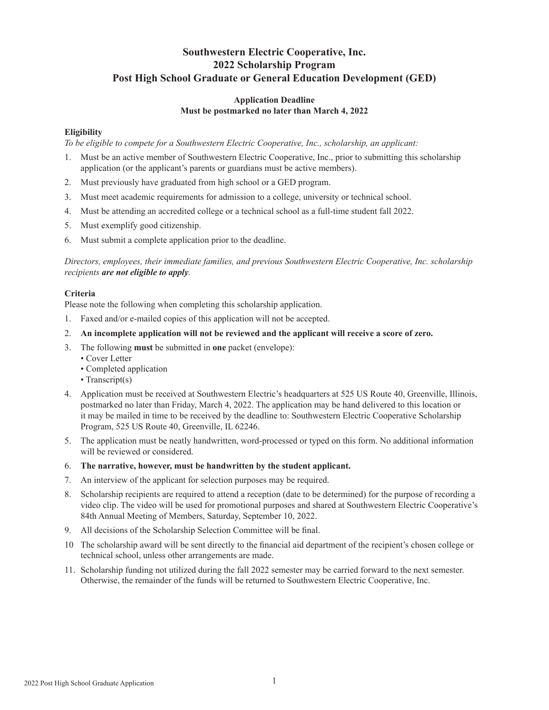# **Southwestern Electric Cooperative, Inc. 2022 Scholarship Program Post High School Graduate or General Education Development (GED)**

#### **Application Deadline Must be postmarked no later than March 4, 2022**

#### **Eligibility**

*To be eligible to compete for a Southwestern Electric Cooperative, Inc., scholarship, an applicant:*

- 1. Must be an active member of Southwestern Electric Cooperative, Inc., prior to submitting this scholarship application (or the applicant's parents or guardians must be active members).
- 2. Must previously have graduated from high school or a GED program.
- 3. Must meet academic requirements for admission to a college, university or technical school.
- 4. Must be attending an accredited college or a technical school as a full-time student fall 2022.
- 5. Must exemplify good citizenship.
- 6. Must submit a complete application prior to the deadline.

*Directors, employees, their immediate families, and previous Southwestern Electric Cooperative, Inc. scholarship recipients are not eligible to apply.*

#### **Criteria**

Please note the following when completing this scholarship application.

- 1. Faxed and/or e-mailed copies of this application will not be accepted.
- 2. **An incomplete application will not be reviewed and the applicant will receive a score of zero.**
- 3. The following **must** be submitted in **one** packet (envelope):
	- Cover Letter
	- Completed application
	- Transcript(s)
- 4. Application must be received at Southwestern Electric's headquarters at 525 US Route 40, Greenville, Illinois, postmarked no later than Friday, March 4, 2022. The application may be hand delivered to this location or it may be mailed in time to be received by the deadline to: Southwestern Electric Cooperative Scholarship Program, 525 US Route 40, Greenville, IL 62246.
- 5. The application must be neatly handwritten, word-processed or typed on this form. No additional information will be reviewed or considered.
- 6. **The narrative, however, must be handwritten by the student applicant.**
- 7. An interview of the applicant for selection purposes may be required.
- 8. Scholarship recipients are required to attend a reception (date to be determined) for the purpose of recording a video clip. The video will be used for promotional purposes and shared at Southwestern Electric Cooperative's 84th Annual Meeting of Members, Saturday, September 10, 2022.
- 9. All decisions of the Scholarship Selection Committee will be final.
- 10 The scholarship award will be sent directly to the financial aid department of the recipient's chosen college or technical school, unless other arrangements are made.
- 11. Scholarship funding not utilized during the fall 2022 semester may be carried forward to the next semester. Otherwise, the remainder of the funds will be returned to Southwestern Electric Cooperative, Inc.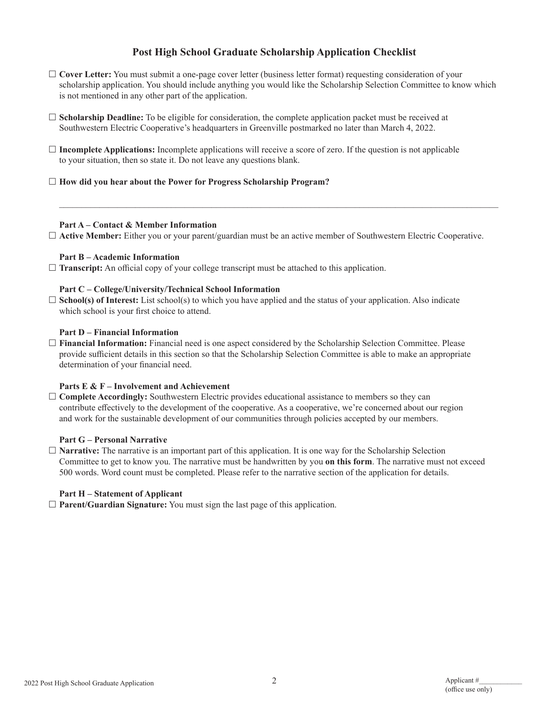# **Post High School Graduate Scholarship Application Checklist**

- **Cover Letter:** You must submit a one-page cover letter (business letter format) requesting consideration of your scholarship application. You should include anything you would like the Scholarship Selection Committee to know which is not mentioned in any other part of the application.
- **Scholarship Deadline:** To be eligible for consideration, the complete application packet must be received at Southwestern Electric Cooperative's headquarters in Greenville postmarked no later than March 4, 2022.
- $\Box$  **Incomplete Applications:** Incomplete applications will receive a score of zero. If the question is not applicable to your situation, then so state it. Do not leave any questions blank.
- **How did you hear about the Power for Progress Scholarship Program?**

#### **Part A – Contact & Member Information**

**Active Member:** Either you or your parent/guardian must be an active member of Southwestern Electric Cooperative.

 $\mathcal{L}_\mathcal{L} = \mathcal{L}_\mathcal{L} = \mathcal{L}_\mathcal{L} = \mathcal{L}_\mathcal{L} = \mathcal{L}_\mathcal{L} = \mathcal{L}_\mathcal{L} = \mathcal{L}_\mathcal{L} = \mathcal{L}_\mathcal{L} = \mathcal{L}_\mathcal{L} = \mathcal{L}_\mathcal{L} = \mathcal{L}_\mathcal{L} = \mathcal{L}_\mathcal{L} = \mathcal{L}_\mathcal{L} = \mathcal{L}_\mathcal{L} = \mathcal{L}_\mathcal{L} = \mathcal{L}_\mathcal{L} = \mathcal{L}_\mathcal{L}$ 

#### **Part B – Academic Information**

**Transcript:** An official copy of your college transcript must be attached to this application.

#### **Part C – College/University/Technical School Information**

 $\square$  **School(s) of Interest:** List school(s) to which you have applied and the status of your application. Also indicate which school is your first choice to attend.

#### **Part D – Financial Information**

 **Financial Information:** Financial need is one aspect considered by the Scholarship Selection Committee. Please provide sufficient details in this section so that the Scholarship Selection Committee is able to make an appropriate determination of your financial need.

#### **Parts E & F – Involvement and Achievement**

 $\Box$  **Complete Accordingly:** Southwestern Electric provides educational assistance to members so they can contribute effectively to the development of the cooperative. As a cooperative, we're concerned about our region and work for the sustainable development of our communities through policies accepted by our members.

#### **Part G – Personal Narrative**

 **Narrative:** The narrative is an important part of this application. It is one way for the Scholarship Selection Committee to get to know you. The narrative must be handwritten by you **on this form**. The narrative must not exceed 500 words. Word count must be completed. Please refer to the narrative section of the application for details.

#### **Part H – Statement of Applicant**

**Parent/Guardian Signature:** You must sign the last page of this application.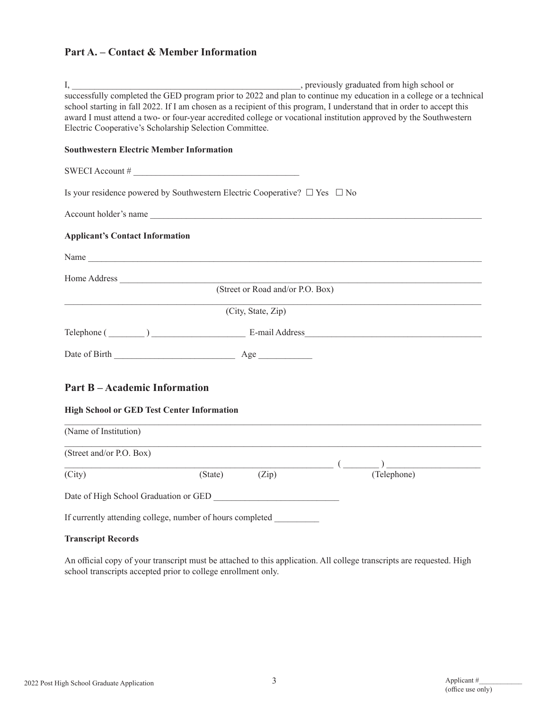# **Part A. – Contact & Member Information**

| I,                                                      |                                                                                      | , previously graduated from high school or                                                                             |
|---------------------------------------------------------|--------------------------------------------------------------------------------------|------------------------------------------------------------------------------------------------------------------------|
|                                                         |                                                                                      | successfully completed the GED program prior to 2022 and plan to continue my education in a college or a technical     |
|                                                         |                                                                                      | school starting in fall 2022. If I am chosen as a recipient of this program, I understand that in order to accept this |
|                                                         |                                                                                      | award I must attend a two- or four-year accredited college or vocational institution approved by the Southwestern      |
| Electric Cooperative's Scholarship Selection Committee. |                                                                                      |                                                                                                                        |
| <b>Southwestern Electric Member Information</b>         |                                                                                      |                                                                                                                        |
|                                                         | SWECI Account #                                                                      |                                                                                                                        |
|                                                         | Is your residence powered by Southwestern Electric Cooperative? $\Box$ Yes $\Box$ No |                                                                                                                        |
|                                                         | Account holder's name                                                                |                                                                                                                        |
| <b>Applicant's Contact Information</b>                  |                                                                                      |                                                                                                                        |
|                                                         | Name                                                                                 |                                                                                                                        |
| Home Address                                            |                                                                                      |                                                                                                                        |
|                                                         | (Street or Road and/or P.O. Box)                                                     |                                                                                                                        |
|                                                         | (City, State, Zip)                                                                   |                                                                                                                        |
|                                                         |                                                                                      | Telephone (Championente and Address                                                                                    |
|                                                         |                                                                                      |                                                                                                                        |
| <b>Part B-Academic Information</b>                      |                                                                                      |                                                                                                                        |
|                                                         |                                                                                      |                                                                                                                        |
| <b>High School or GED Test Center Information</b>       |                                                                                      |                                                                                                                        |
| (Name of Institution)                                   |                                                                                      |                                                                                                                        |
| (Street and/or P.O. Box)                                |                                                                                      |                                                                                                                        |
| (City)                                                  | (Zip)<br>(State)                                                                     | (Telephone)                                                                                                            |
|                                                         |                                                                                      |                                                                                                                        |
|                                                         | Date of High School Graduation or GED                                                |                                                                                                                        |
|                                                         | If currently attending college, number of hours completed                            |                                                                                                                        |
| <b>Transcript Records</b>                               |                                                                                      |                                                                                                                        |

An official copy of your transcript must be attached to this application. All college transcripts are requested. High school transcripts accepted prior to college enrollment only.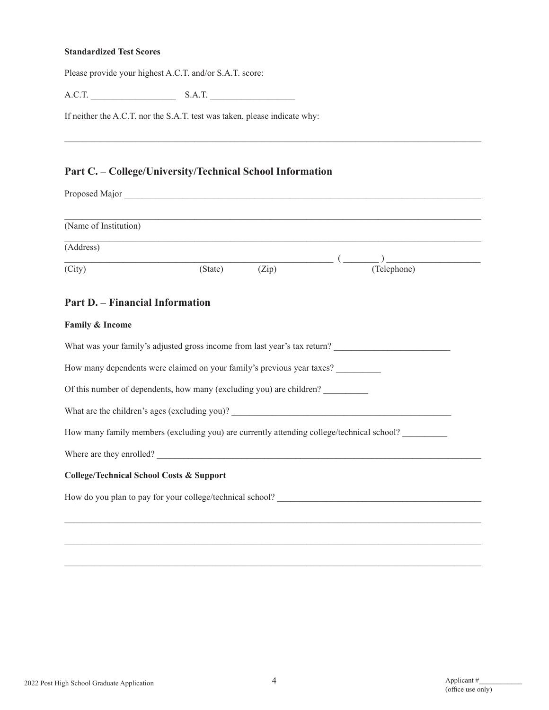#### **Standardized Test Scores**

Please provide your highest A.C.T. and/or S.A.T. score:

A.C.T. \_\_\_\_\_\_\_\_\_\_\_\_\_\_\_\_\_\_\_ S.A.T. \_\_\_\_\_\_\_\_\_\_\_\_\_\_\_\_\_\_\_

If neither the A.C.T. nor the S.A.T. test was taken, please indicate why:

# **Part C. – College/University/Technical School Information**

| (Name of Institution)                               |                                                                                           |       |                                                            |  |
|-----------------------------------------------------|-------------------------------------------------------------------------------------------|-------|------------------------------------------------------------|--|
| (Address)                                           | ,我们也不能在这里的时候,我们也不能会在这里,我们也不能会在这里的时候,我们也不能会在这里的时候,我们也不能会在这里的时候,我们也不能会在这里的时候,我们也不能          |       |                                                            |  |
| (City)                                              | (State)                                                                                   | (Zip) | $\overline{\text{Zip}}$ ( $\overline{\text{ (Telephone)}}$ |  |
| <b>Part D. – Financial Information</b>              |                                                                                           |       |                                                            |  |
| Family & Income                                     |                                                                                           |       |                                                            |  |
|                                                     | What was your family's adjusted gross income from last year's tax return?                 |       |                                                            |  |
|                                                     | How many dependents were claimed on your family's previous year taxes?                    |       |                                                            |  |
|                                                     | Of this number of dependents, how many (excluding you) are children?                      |       |                                                            |  |
|                                                     |                                                                                           |       |                                                            |  |
|                                                     | How many family members (excluding you) are currently attending college/technical school? |       |                                                            |  |
|                                                     | Where are they enrolled?                                                                  |       |                                                            |  |
| <b>College/Technical School Costs &amp; Support</b> |                                                                                           |       |                                                            |  |
|                                                     |                                                                                           |       |                                                            |  |
|                                                     |                                                                                           |       |                                                            |  |
|                                                     |                                                                                           |       |                                                            |  |

 $\mathcal{L}_\mathcal{L} = \{ \mathcal{L}_\mathcal{L} = \{ \mathcal{L}_\mathcal{L} = \{ \mathcal{L}_\mathcal{L} = \{ \mathcal{L}_\mathcal{L} = \{ \mathcal{L}_\mathcal{L} = \{ \mathcal{L}_\mathcal{L} = \{ \mathcal{L}_\mathcal{L} = \{ \mathcal{L}_\mathcal{L} = \{ \mathcal{L}_\mathcal{L} = \{ \mathcal{L}_\mathcal{L} = \{ \mathcal{L}_\mathcal{L} = \{ \mathcal{L}_\mathcal{L} = \{ \mathcal{L}_\mathcal{L} = \{ \mathcal{L}_\mathcal{$ 

 $\mathcal{L}_\mathcal{L} = \mathcal{L}_\mathcal{L} = \mathcal{L}_\mathcal{L} = \mathcal{L}_\mathcal{L} = \mathcal{L}_\mathcal{L} = \mathcal{L}_\mathcal{L} = \mathcal{L}_\mathcal{L} = \mathcal{L}_\mathcal{L} = \mathcal{L}_\mathcal{L} = \mathcal{L}_\mathcal{L} = \mathcal{L}_\mathcal{L} = \mathcal{L}_\mathcal{L} = \mathcal{L}_\mathcal{L} = \mathcal{L}_\mathcal{L} = \mathcal{L}_\mathcal{L} = \mathcal{L}_\mathcal{L} = \mathcal{L}_\mathcal{L}$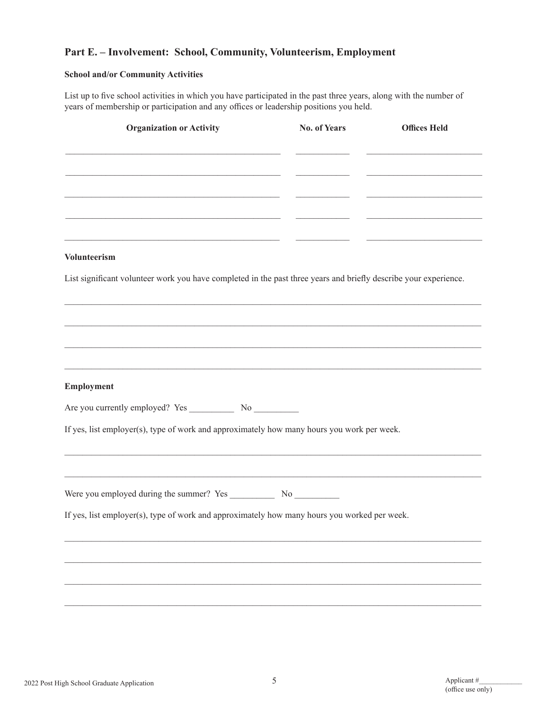# **Part E. – Involvement: School, Community, Volunteerism, Employment**

#### **School and/or Community Activities**

List up to five school activities in which you have participated in the past three years, along with the number of years of membership or participation and any offices or leadership positions you held.

| <b>Organization or Activity</b>                                                                                  | <b>No. of Years</b> | <b>Offices Held</b> |
|------------------------------------------------------------------------------------------------------------------|---------------------|---------------------|
|                                                                                                                  |                     |                     |
|                                                                                                                  |                     |                     |
|                                                                                                                  |                     |                     |
|                                                                                                                  |                     |                     |
|                                                                                                                  |                     |                     |
| <b>Volunteerism</b>                                                                                              |                     |                     |
| List significant volunteer work you have completed in the past three years and briefly describe your experience. |                     |                     |
|                                                                                                                  |                     |                     |
|                                                                                                                  |                     |                     |
|                                                                                                                  |                     |                     |
|                                                                                                                  |                     |                     |
|                                                                                                                  |                     |                     |
| Employment                                                                                                       |                     |                     |
|                                                                                                                  |                     |                     |
| If yes, list employer(s), type of work and approximately how many hours you work per week.                       |                     |                     |
|                                                                                                                  |                     |                     |
|                                                                                                                  |                     |                     |
|                                                                                                                  |                     |                     |
|                                                                                                                  |                     |                     |
| If yes, list employer(s), type of work and approximately how many hours you worked per week.                     |                     |                     |
|                                                                                                                  |                     |                     |
|                                                                                                                  |                     |                     |
|                                                                                                                  |                     |                     |
|                                                                                                                  |                     |                     |
|                                                                                                                  |                     |                     |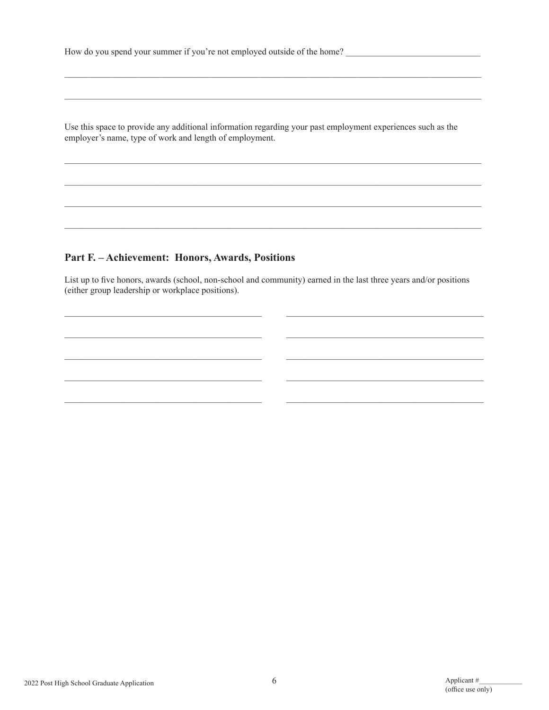How do you spend your summer if you're not employed outside of the home?

Use this space to provide any additional information regarding your past employment experiences such as the employer's name, type of work and length of employment.

### Part F. - Achievement: Honors, Awards, Positions

List up to five honors, awards (school, non-school and community) earned in the last three years and/or positions (either group leadership or workplace positions).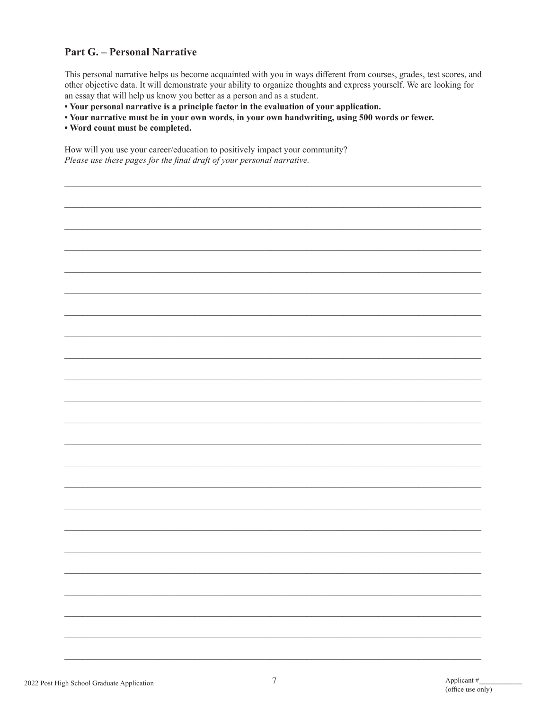## **Part G. - Personal Narrative**

This personal narrative helps us become acquainted with you in ways different from courses, grades, test scores, and other objective data. It will demonstrate your ability to organize thoughts and express yourself. We are looking for an essay that will help us know you better as a person and as a student.

• Your personal narrative is a principle factor in the evaluation of your application.

- Your narrative must be in your own words, in your own handwriting, using 500 words or fewer.
- . Word count must be completed.

How will you use your career/education to positively impact your community? Please use these pages for the final draft of your personal narrative.